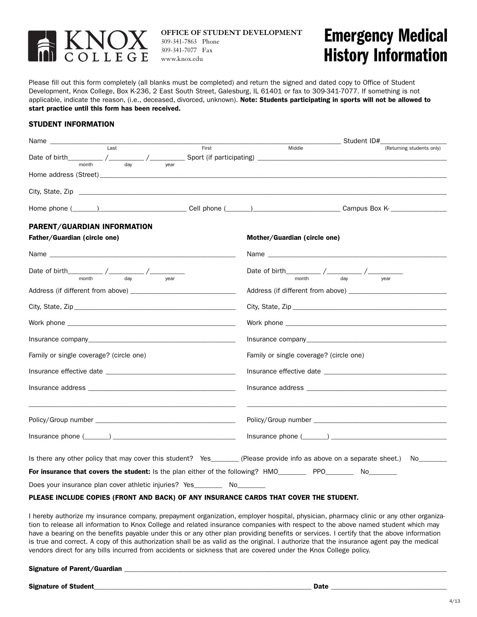

**OFFICE OF STUDENT DEVELOPMENT** 309-341-7863 Phone 309-341-7077 Fax www.knox.edu

## **Emergency Medical History Information**

Please fill out this form completely (all blanks must be completed) and return the signed and dated copy to Office of Student Development, Knox College, Box K-236, 2 East South Street, Galesburg, IL 61401 or fax to 309-341-7077. If something is not applicable, indicate the reason, (i.e., deceased, divorced, unknown). **Note: Students participating in sports will not be allowed to start practice until this form has been received.**

## **STUDENT INFORMATION**

|                                                                                                                                            | Student ID#                                                                                                                       |  |
|--------------------------------------------------------------------------------------------------------------------------------------------|-----------------------------------------------------------------------------------------------------------------------------------|--|
| Last<br>First                                                                                                                              | Middle<br>(Returning students only)                                                                                               |  |
| Date of birth $\frac{1}{\text{month}}$ / $\frac{1}{\text{day}}$ / $\frac{1}{\text{year}}$ Sport (if participating) $\frac{1}{\text{year}}$ |                                                                                                                                   |  |
|                                                                                                                                            |                                                                                                                                   |  |
|                                                                                                                                            |                                                                                                                                   |  |
|                                                                                                                                            |                                                                                                                                   |  |
| PARENT/GUARDIAN INFORMATION                                                                                                                |                                                                                                                                   |  |
| Father/Guardian (circle one)                                                                                                               | Mother/Guardian (circle one)                                                                                                      |  |
|                                                                                                                                            |                                                                                                                                   |  |
|                                                                                                                                            | Date of birth $\frac{1}{\text{month}}$ / $\frac{1}{\text{day}}$ / $\frac{1}{\text{year}}$                                         |  |
|                                                                                                                                            |                                                                                                                                   |  |
|                                                                                                                                            |                                                                                                                                   |  |
|                                                                                                                                            |                                                                                                                                   |  |
|                                                                                                                                            |                                                                                                                                   |  |
|                                                                                                                                            |                                                                                                                                   |  |
| Family or single coverage? (circle one)                                                                                                    | Family or single coverage? (circle one)                                                                                           |  |
|                                                                                                                                            |                                                                                                                                   |  |
|                                                                                                                                            |                                                                                                                                   |  |
|                                                                                                                                            |                                                                                                                                   |  |
|                                                                                                                                            |                                                                                                                                   |  |
|                                                                                                                                            | Is there any other policy that may cover this student? Yes________ (Please provide info as above on a separate sheet.) No________ |  |
| For insurance that covers the student: Is the plan either of the following? HMO__________ PPO_________ No________                          |                                                                                                                                   |  |
| Does your insurance plan cover athletic injuries? Yes__________ No________                                                                 |                                                                                                                                   |  |
| PLEASE INCLUDE COPIES (FRONT AND BACK) OF ANY INSURANCE CARDS THAT COVER THE STUDENT.                                                      |                                                                                                                                   |  |

I hereby authorize my insurance company, prepayment organization, employer hospital, physician, pharmacy clinic or any other organization to release all information to Knox College and related insurance companies with respect to the above named student which may have a bearing on the benefits payable under this or any other plan providing benefits or services. I certify that the above information is true and correct. A copy of this authorization shall be as valid as the original. I authorize that the insurance agent pay the medical vendors direct for any bills incurred from accidents or sickness that are covered under the Knox College policy.

**Signature of Parent/Guardian \_\_\_\_\_\_\_\_\_\_\_\_\_\_\_\_\_\_\_\_\_\_\_\_\_\_\_\_\_\_\_\_\_\_\_\_\_\_\_\_\_\_\_\_\_\_\_\_\_\_\_\_\_\_\_\_\_\_\_\_\_\_\_\_\_\_\_\_\_\_\_\_\_\_\_\_\_\_\_\_\_\_\_\_\_\_\_\_\_\_\_\_**

**Signature of Student\_\_\_\_\_\_\_\_\_\_\_\_\_\_\_\_\_\_\_\_\_\_\_\_\_\_\_\_\_\_\_\_\_\_\_\_\_\_\_\_\_\_\_\_\_\_\_\_\_\_\_\_\_\_\_\_\_\_\_\_\_\_ Date \_\_\_\_\_\_\_\_\_\_\_\_\_\_\_\_\_\_\_\_\_\_\_\_\_\_\_\_\_\_\_\_\_**